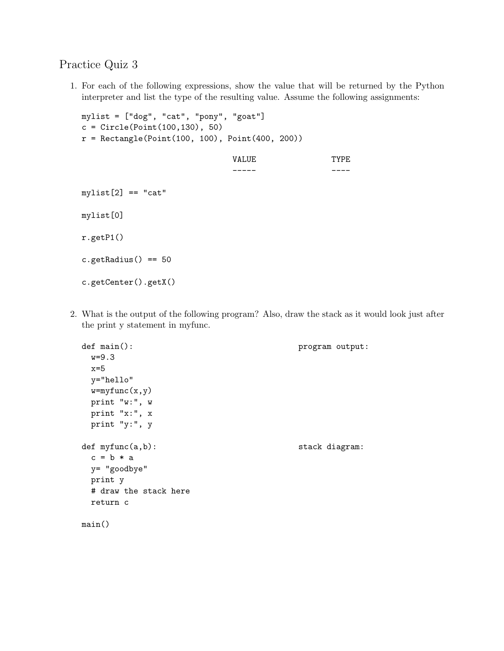## Practice Quiz 3

1. For each of the following expressions, show the value that will be returned by the Python interpreter and list the type of the resulting value. Assume the following assignments:

```
mylist = ["dog", "cat", "pony", "goat"]
c = Circle(Point(100, 130), 50)r = Rectangle(Point(100, 100), Point(400, 200))
                            VALUE TYPE
                             ----- ----
mylist[2] == "cat"mylist[0]
r.getP1()
c.getRadius() == 50c.getCenter().getX()
```
2. What is the output of the following program? Also, draw the stack as it would look just after the print y statement in myfunc.

```
def main(): \qquad \qquad \text{program output:}w=9.3
 x=5y="hello"
 w=myfunc(x,y)
 print "w:", w
 print "x:", x
 print "y:", y
def myfunc(a,b): stack diagram:
 c = b * ay= "goodbye"
 print y
 # draw the stack here
 return c
main()
```